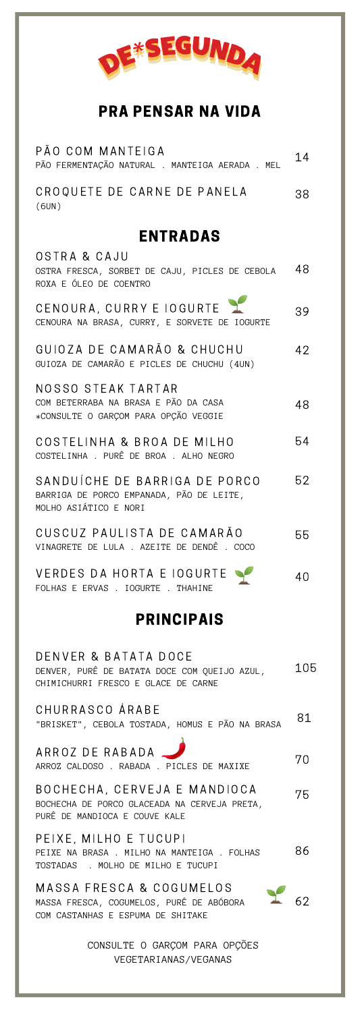

## PRA PENSAR NA VIDA

| PÃO COM MANTEIGA<br>PÃO FERMENTAÇÃO NATURAL . MANTEIGA AERADA . MEL                                            | 14  |
|----------------------------------------------------------------------------------------------------------------|-----|
| CROQUETE DE CARNE DE PANELA<br>(6UN)                                                                           | 38  |
| <b>ENTRADAS</b>                                                                                                |     |
| OSTRA & CAJU<br>OSTRA FRESCA, SORBET DE CAJU, PICLES DE CEBOLA<br>ROXA E ÓLEO DE COENTRO                       | 48  |
| CENOURA, CURRY E IOGURTE<br>CENOURA NA BRASA, CURRY, E SORVETE DE IOGURTE                                      | 39  |
| GUIOZA DE CAMARÃO & CHUCHU<br>GUIOZA DE CAMARÃO E PICLES DE CHUCHU (4UN)                                       | 42  |
| NOSSO STEAK TARTAR<br>COM BETERRABA NA BRASA E PÃO DA CASA<br>*CONSULTE O GARÇOM PARA OPÇÃO VEGGIE             | 48  |
| COSTELINHA & BROA DE MILHO<br>COSTELINHA . PURÊ DE BROA . ALHO NEGRO                                           | 54  |
| SANDUÍCHE DE BARRIGA DE PORCO<br>BARRIGA DE PORCO EMPANADA, PÃO DE LEITE,<br>MOLHO ASIÁTICO E NORI             | 52  |
| CUSCUZ PAULISTA DE CAMARÃO<br>VINAGRETE DE LULA . AZEITE DE DENDÊ . COCO                                       | 55  |
| VERDES DA HORTA E IOGURTE<br>FOLHAS E ERVAS . IOGURTE . THAHINE                                                | 40  |
| <b>PRINCIPAIS</b>                                                                                              |     |
| DENVER & BATATA DOCE<br>DENVER, PURÊ DE BATATA DOCE COM QUEIJO AZUL,<br>CHIMICHURRI FRESCO E GLACE DE CARNE    | 105 |
| CHURRASCO ÁRABE<br>"BRISKET", CEBOLA TOSTADA, HOMUS E PÃO NA BRASA                                             | 81  |
| ARROZ DE RABADA<br>ARROZ CALDOSO . RABADA . PICLES DE MAXIXE                                                   | 70  |
| BOCHECHA, CERVEJA E MANDIOCA<br>BOCHECHA DE PORCO GLACEADA NA CERVEJA PRETA,<br>PURÊ DE MANDIOCA E COUVE KALE  | 75  |
| PEIXE, MILHO E TUCUPI<br>PEIXE NA BRASA . MILHO NA MANTEIGA . FOLHAS<br>TOSTADAS . MOLHO DE MILHO E TUCUPI     | 86  |
| MASSA FRESCA & COGUMELOS<br>Y<br>MASSA FRESCA, COGUMELOS, PURÊ DE ABÓBORA<br>COM CASTANHAS E ESPUMA DE SHITAKE |     |
|                                                                                                                |     |

CONSULTE O GARÇOM PARA OPÇÕES VEGETARIANAS/VEGANAS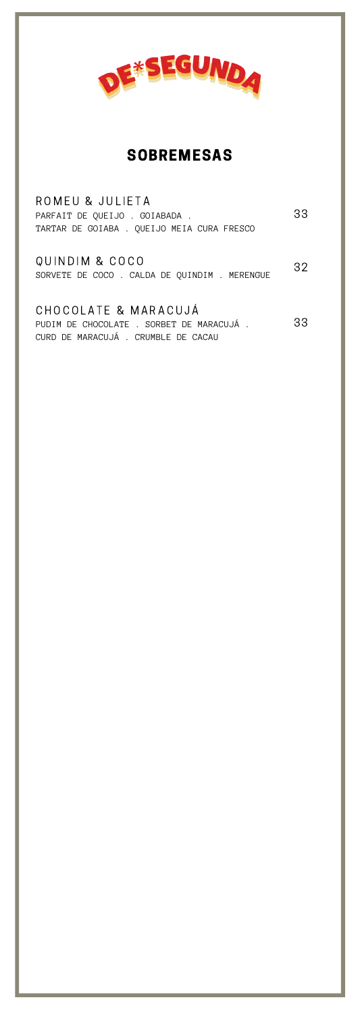

# SOBREMESAS

| ROMEU & JULIETA<br>PARFAIT DE OUEIJO . GOIABADA .<br>TARTAR DE GOIABA . QUEIJO MEIA CURA FRESCO        | 33 |
|--------------------------------------------------------------------------------------------------------|----|
| QUINDIM & COCO<br>SORVETE DE COCO . CALDA DE QUINDIM . MERENGUE                                        | 32 |
| CHOCOLATE & MARACUJÁ<br>PUDIM DE CHOCOLATE . SORBET DE MARACUJÁ.<br>CURD DE MARACUJÁ, CRUMBLE DE CACAU | 33 |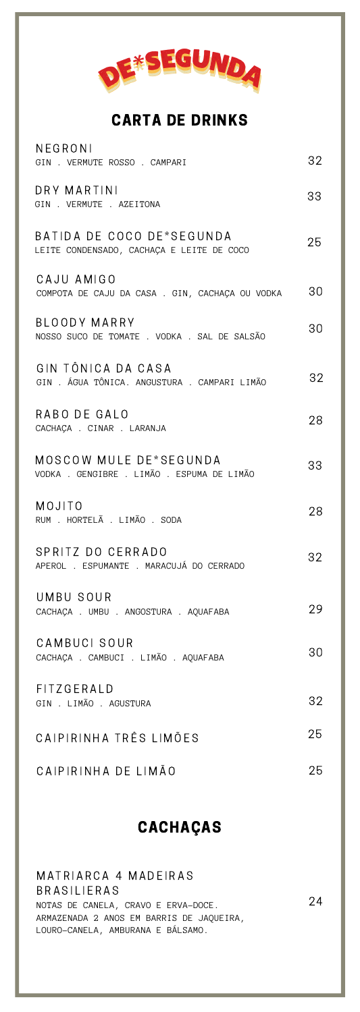

#### CARTA DE DRINKS

| NEGRONI<br>GIN . VERMUTE ROSSO . CAMPARI                               | 32 |
|------------------------------------------------------------------------|----|
| DRY MARTINI<br>GIN . VERMUTE . AZEITONA                                | 33 |
| BATIDA DE COCO DE*SEGUNDA<br>LEITE CONDENSADO, CACHAÇA E LEITE DE COCO | 25 |
| CAJU AMIGO<br>COMPOTA DE CAJU DA CASA . GIN, CACHAÇA OU VODKA          | 30 |
| BLOODY MARRY<br>NOSSO SUCO DE TOMATE . VODKA . SAL DE SALSÃO           | 30 |
| GIN TÔNICA DA CASA<br>GIN . ÁGUA TÔNICA. ANGUSTURA . CAMPARI LIMÃO     | 32 |
| RABO DE GALO<br>CACHAÇA . CINAR . LARANJA                              | 28 |
| MOSCOW MULE DE*SEGUNDA<br>VODKA . GENGIBRE . LIMÃO . ESPUMA DE LIMÃO   | 33 |
| MOJITO<br>RUM . HORTELÃ . LIMÃO . SODA                                 | 28 |
| SPRITZ DO CERRADO<br>APEROL . ESPUMANTE . MARACUJÁ DO CERRADO          | 32 |
| UMBU SOUR<br>CACHAÇA . UMBU . ANGOSTURA . AQUAFABA                     | 29 |
| CAMBUCI SOUR<br>CACHAÇA . CAMBUCI . LIMÃO . AQUAFABA                   | 30 |
| FITZGERALD<br>GIN . LIMÃO . AGUSTURA                                   | 32 |
| CAIPIRINHA TRÊS LIMÕES                                                 | 25 |
| CAIPIRINHA DE LIMÃO                                                    | 25 |

## CACHAÇAS

MATRIARCA 4 MADEIRAS **BRASILIERAS** NOTAS DE CANELA, CRAVO E ERVA-DOCE. ARMAZENADA 2 ANOS EM BARRIS DE JAQUEIRA, LOURO-CANELA, AMBURANA E BÁLSAMO. 24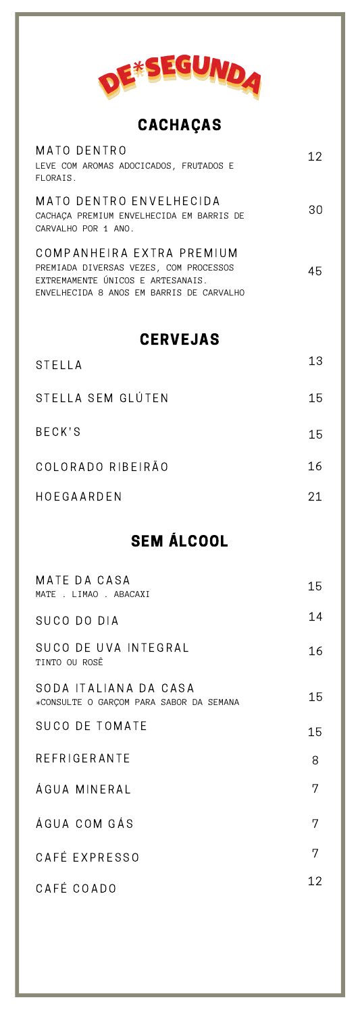

CACHAÇAS

| MATO DENTRO<br>LEVE COM AROMAS ADOCICADOS, FRUTADOS E<br>FLORAIS.                                                                                    | 12 |
|------------------------------------------------------------------------------------------------------------------------------------------------------|----|
| MATO DENTRO ENVELHECIDA<br>CACHACA PREMIUM ENVELHECIDA EM BARRIS DE<br>CARVALHO POR 1 ANO.                                                           | 30 |
| COMPANHEIRA EXTRA PREMIUM<br>PREMIADA DIVERSAS VEZES, COM PROCESSOS<br>EXTREMAMENTE ÚNICOS E ARTESANAIS.<br>ENVELHECIDA 8 ANOS EM BARRIS DE CARVALHO | 45 |
| <b>CERVEJAS</b>                                                                                                                                      |    |
| STELLA                                                                                                                                               | 13 |
| STELLA SEM GLÚTEN                                                                                                                                    | 15 |
| <b>BECK'S</b>                                                                                                                                        | 15 |
| COLORADO RIBEIRÃO                                                                                                                                    | 16 |
|                                                                                                                                                      |    |

## SEM ÁLCOOL

| MATE DA CASA<br>MATE . LIMAO . ABACAXI                           | 15 |
|------------------------------------------------------------------|----|
| SUCO DO DIA                                                      | 14 |
| SUCO DE UVA INTEGRAL<br>TINTO OU ROSÊ                            | 16 |
| SODA ITALIANA DA CASA<br>*CONSULTE O GARÇOM PARA SABOR DA SEMANA | 15 |
| <b>SUCO DE TOMATE</b>                                            | 15 |
| REFRIGERANTE                                                     | 8  |
| ÁGUA MINFRAI                                                     | 7  |
| ÁGUA COM GÁS                                                     | 7  |
| CAFÉ EXPRESSO                                                    | 7  |
| CAFÉ COADO                                                       | 12 |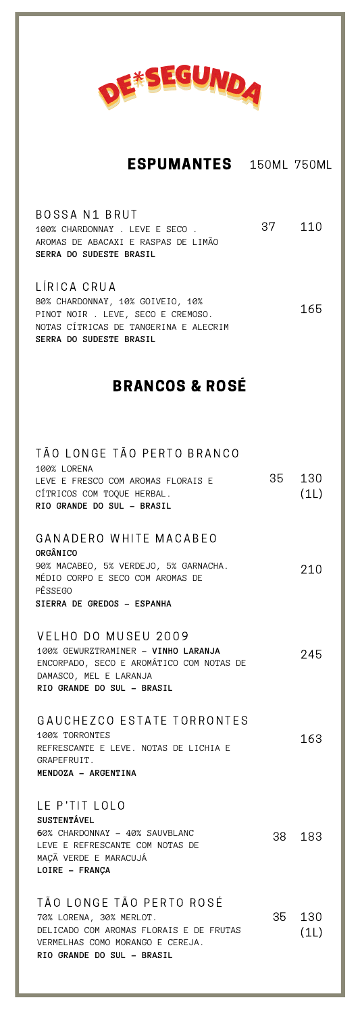

#### ESPUMANTES 150ML 750ML

| BOSSA N1 BRUT<br>37<br>100% CHARDONNAY . LEVE E SECO.<br>AROMAS DE ABACAXI E RASPAS DE LIMÃO<br>SERRA DO SUDESTE BRASIL | 110  |
|-------------------------------------------------------------------------------------------------------------------------|------|
| LÍRICA CRUA                                                                                                             |      |
| 80% CHARDONNAY, 10% GOIVEIO, 10%<br>PINOT NOIR . LEVE, SECO E CREMOSO.<br>NOTAS CÍTRICAS DE TANGERINA E ALECRIM         | 165. |

### BRANCOS & ROSÉ

**SERRA DO SUDESTE BRASIL**

| TÃO LONGE TÃO PERTO BRANCO<br>100% LORENA<br>LEVE E FRESCO COM AROMAS FLORAIS E<br>CÍTRICOS COM TOQUE HERBAL.<br>RIO GRANDE DO SUL - BRASIL                      | 35 | 130<br>(1L) |
|------------------------------------------------------------------------------------------------------------------------------------------------------------------|----|-------------|
| GANADERO WHITE MACABEO<br>ORGÂNICO<br>90% MACABEO, 5% VERDEJO, 5% GARNACHA.<br>MÉDIO CORPO E SECO COM AROMAS DE<br>PÊSSEGO<br>SIERRA DE GREDOS - ESPANHA         |    | 210         |
| VELHO DO MUSEU 2009<br>100% GEWURZTRAMINER - VINHO LARANJA<br>ENCORPADO, SECO E AROMÁTICO COM NOTAS DE<br>DAMASCO, MEL E LARANJA<br>RIO GRANDE DO SUL - BRASIL   |    | 245         |
| GAUCHEZCO ESTATE TORRONTES<br>100% TORRONTES<br>REFRESCANTE E LEVE. NOTAS DE LICHIA E<br>GRAPEFRUIT.<br>MENDOZA - ARGENTINA                                      |    | 163         |
| LE P'TIT LOLO<br><b>SUSTENTÁVEL</b><br>60% CHARDONNAY - 40% SAUVBLANC<br>LEVE E REFRESCANTE COM NOTAS DE<br>MAÇÃ VERDE E MARACUJÁ<br>LOIRE - FRANÇA              |    | 38 183      |
| TÃO LONGE TÃO PERTO ROSÉ<br>70% LORENA, 30% MERLOT.<br>DELICADO COM AROMAS FLORAIS E DE FRUTAS<br>VERMELHAS COMO MORANGO E CEREJA.<br>RIO GRANDE DO SUL - BRASIL | 35 | 130<br>(1L) |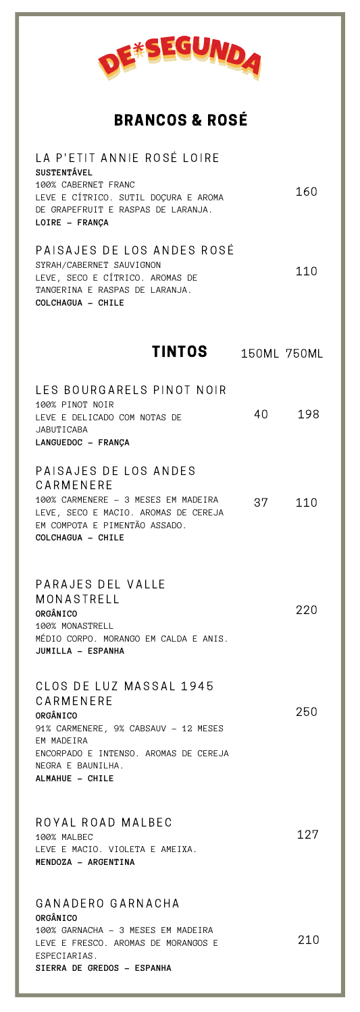

## BRANCOS & ROSÉ

| LA P'ETIT ANNIE ROSÉ LOIRE<br><b>SUSTENTÁVEL</b><br>100% CABERNET FRANC<br>LEVE E CÍTRICO. SUTIL DOÇURA E AROMA                                                                         |    | 160         |
|-----------------------------------------------------------------------------------------------------------------------------------------------------------------------------------------|----|-------------|
| DE GRAPEFRUIT E RASPAS DE LARANJA.<br>LOIRE - FRANÇA                                                                                                                                    |    |             |
| PAISAJES DE LOS ANDES ROSÉ<br>SYRAH/CABERNET SAUVIGNON<br>LEVE, SECO E CÍTRICO. AROMAS DE<br>TANGERINA E RASPAS DE LARANJA.<br>COLCHAGUA - CHILE                                        |    | 110         |
| TINTOS                                                                                                                                                                                  |    | 150ML 750ML |
| LES BOURGARELS PINOT NOIR<br>100% PINOT NOIR<br>LEVE E DELICADO COM NOTAS DE<br>JABUTICABA<br>LANGUEDOC - FRANÇA                                                                        | 40 | 198         |
| PAISAJES DE LOS ANDES<br>CARMENERE<br>100% CARMENERE - 3 MESES EM MADEIRA<br>LEVE, SECO E MACIO. AROMAS DE CEREJA<br>EM COMPOTA E PIMENTÃO ASSADO.<br>COLCHAGUA - CHILE                 | 37 | 110         |
| PARAJES DEL VALLE<br>MONASTRELL<br>ORGÂNICO<br>100% MONASTRELL<br>MÉDIO CORPO. MORANGO EM CALDA E ANIS.<br>JUMILLA - ESPANHA                                                            |    | 220         |
| CLOS DE LUZ MASSAL 1945<br>CARMENERE<br>ORGÂNICO<br>91% CARMENERE, 9% CABSAUV - 12 MESES<br>EM MADEIRA<br>ENCORPADO E INTENSO. AROMAS DE CEREJA<br>NEGRA E BAUNILHA.<br>ALMAHUE - CHILE |    | 250         |
| ROYAL ROAD MALBEC<br>100% MALBEC<br>LEVE E MACIO. VIOLETA E AMEIXA.<br>MENDOZA - ARGENTINA                                                                                              |    | 127         |
| GANADERO GARNACHA<br>ORGÂNICO<br>100% GARNACHA - 3 MESES EM MADEIRA<br>LEVE E FRESCO. AROMAS DE MORANGOS E<br>ESPECIARIAS.<br>SIERRA DE GREDOS - ESPANHA                                |    | 210         |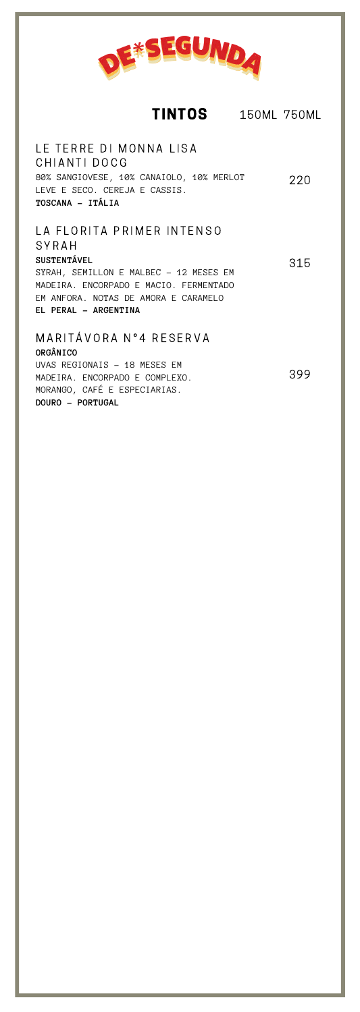

LA FLORITA PRIMER INTENSO LE TERRE DI MONNA LISA CHIANTI DOCG 80% SANGIOVESE, 10% CANAIOLO, 10% MERLOT LEVE E SECO. CEREJA E CASSIS. **TOSCANA - ITÁLIA** 220

**SYRAH SUSTENTÁVEL** SYRAH, SEMILLON E MALBEC - 12 MESES EM MADEIRA. ENCORPADO E MACIO. FERMENTADO EM ANFORA. NOTAS DE AMORA E CARAMELO **EL PERAL - ARGENTINA** 315

M A R I T Á V O R A N º 4 R E S E R V A **ORGÂNICO** UVAS REGIONAIS - 18 MESES EM MADEIRA. ENCORPADO E COMPLEXO. MORANGO, CAFÉ E ESPECIARIAS. **DOURO - PORTUGAL** 399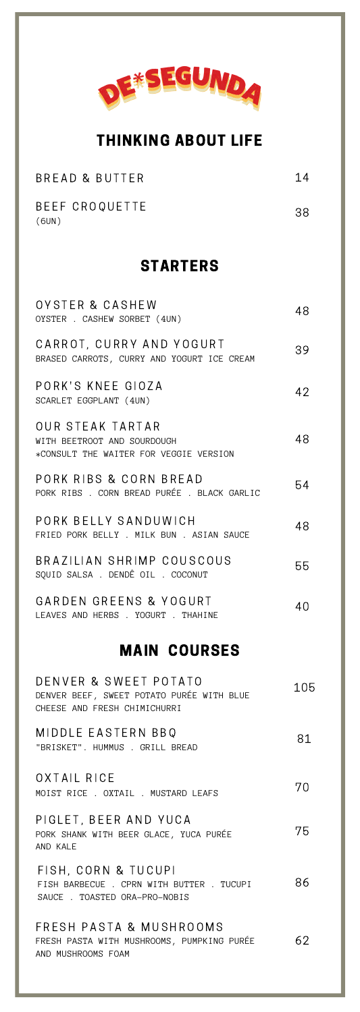

#### THINKING ABOUT LIFE

| BREAD & BUTTER | 14 |
|----------------|----|
| BEEF CROQUETTE | 38 |
| (6UN)          |    |

#### STARTERS

| OYSTER & CASHEW<br>OYSTER . CASHEW SORBET (4UN)                                                    | 48  |
|----------------------------------------------------------------------------------------------------|-----|
| CARROT, CURRY AND YOGURT<br>BRASED CARROTS, CURRY AND YOGURT ICE CREAM                             | 39  |
| PORK'S KNEE GIOZA<br>SCARLET EGGPLANT (4UN)                                                        | 42  |
| OUR STEAK TARTAR<br>WITH BEETROOT AND SOURDOUGH<br>*CONSULT THE WAITER FOR VEGGIE VERSION          | 48  |
| PORK RIBS & CORN BREAD<br>PORK RIBS . CORN BREAD PURÉE . BLACK GARLIC                              | 54  |
| PORK BELLY SANDUWICH<br>FRIED PORK BELLY . MILK BUN . ASIAN SAUCE                                  | 48  |
| BRAZILIAN SHRIMP COUSCOUS<br>SOUID SALSA . DENDÊ OIL . COCONUT                                     | 55  |
| GARDEN GREENS & YOGURT<br>LEAVES AND HERBS . YOGURT . THAHINE                                      | 40  |
| <b>MAIN COURSES</b>                                                                                |     |
| DENVER & SWEET POTATO<br>DENVER BEEF, SWEET POTATO PURÉE WITH BLUE<br>CHEESE AND FRESH CHIMICHURRI | 105 |

MIDDLE EASTERN BBQ "BRISKET". HUMMUS . GRILL BREAD 81

OXTAIL RICE MOIST RICE . OXTAIL . MUSTARD LEAFS 70

PIGLET, BEER AND YUCA PORK SHANK WITH BEER GLACE, YUCA PURÉE AND KALE 75

FISH, CORN & TUCUPI FISH BARBECUE . CPRN WITH BUTTER . TUCUPI SAUCE . TOASTED ORA-PRO-NOBIS 86

FRESH PASTA & MUSHROOMS FRESH PASTA WITH MUSHROOMS, PUMPKING PURÉE AND MUSHROOMS FOAM 62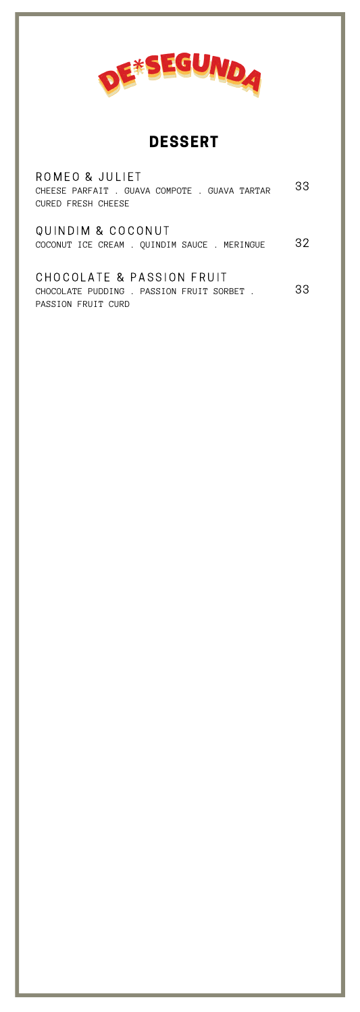

DESSERT

| ROMEO & JULIET<br>CHEESE PARFAIT . GUAVA COMPOTE . GUAVA TARTAR<br>CURED FRESH CHEESE        | 33 |
|----------------------------------------------------------------------------------------------|----|
| QUINDIM & COCONUT<br>COCONUT ICE CREAM . QUINDIM SAUCE . MERINGUE                            | 32 |
| CHOCOLATE & PASSION FRUIT<br>CHOCOLATE PUDDING . PASSION FRUIT SORBET.<br>PASSION FRUIT CURD | 33 |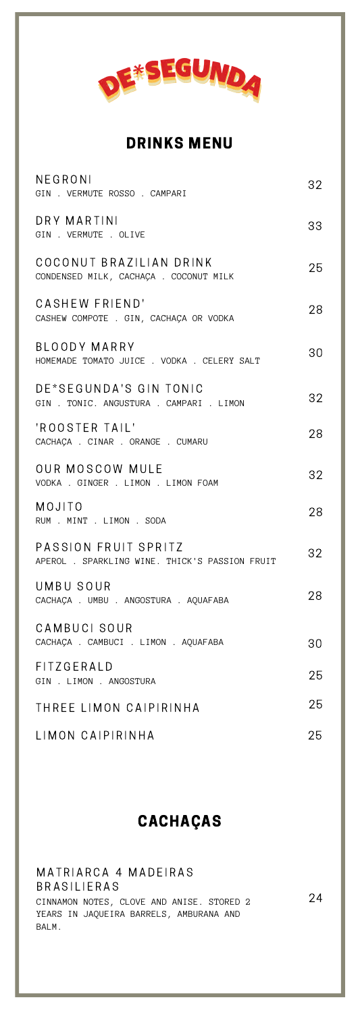

## DRINKS MENU

| NEGRONI<br>GIN . VERMUTE ROSSO . CAMPARI                               | 32 |
|------------------------------------------------------------------------|----|
| DRY MARTINI<br>GIN . VERMUTE . OLIVE                                   | 33 |
| COCONUT BRAZILIAN DRINK<br>CONDENSED MILK, CACHACA . COCONUT MILK      | 25 |
| CASHEW FRIEND'<br>CASHEW COMPOTE . GIN, CACHAÇA OR VODKA               | 28 |
| BLOODY MARRY<br>HOMEMADE TOMATO JUICE . VODKA . CELERY SALT            | 30 |
| DE*SEGUNDA'S GIN TONIC<br>GIN . TONIC. ANGUSTURA . CAMPARI . LIMON     | 32 |
| 'ROOSTER TAIL'<br>CACHAÇA . CINAR . ORANGE . CUMARU                    | 28 |
| OUR MOSCOW MULE<br>VODKA . GINGER . LIMON . LIMON FOAM                 | 32 |
| MOJITO<br>RUM . MINT . LIMON . SODA                                    | 28 |
| PASSION FRUIT SPRITZ<br>APEROL . SPARKLING WINE. THICK'S PASSION FRUIT | 32 |
| UMBU SOUR<br>CACHAÇA . UMBU . ANGOSTURA . AQUAFABA                     | 28 |
| CAMBUCI SOUR<br>CACHAÇA . CAMBUCI . LIMON . AQUAFABA                   | 30 |
| FITZGERALD<br>GIN . LIMON . ANGOSTURA                                  | 25 |
| THREE LIMON CAIPIRINHA                                                 | 25 |
| LIMON CAIPIRINHA                                                       | 25 |

### CACHAÇAS

MATRIARCA 4 MADEIRAS B R A S I LIERAS CINNAMON NOTES, CLOVE AND ANISE. STORED 2 YEARS IN JAQUEIRA BARRELS, AMBURANA AND BALM. 24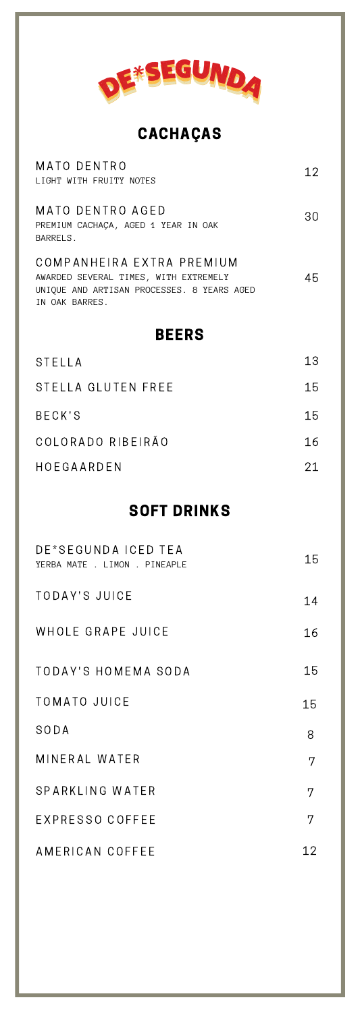

CACHAÇAS

| MATO DENTRO<br>LIGHT WITH FRUITY NOTES                              | 12 |
|---------------------------------------------------------------------|----|
| MATO DENTRO AGED<br>PREMIUM CACHACA, AGED 1 YEAR IN OAK<br>BARRELS. | 30 |
| COMPANHEIRA EXTRA PREMIUM<br>AWARDED SEVERAL TIMES, WITH EXTREMELY  |    |

#### AWARDED SEVERAL TIMES, WITH EXTREMELY UNIQUE AND ARTISAN PROCESSES. 8 YEARS AGED IN OAK BARRES.

## BEERS

| STELLA             | 13  |
|--------------------|-----|
| STELLA GLUTEN FREE | 15  |
| BECK'S             | 15  |
| COLORADO RIBEIRÃO  | 16  |
| HOFGAARDEN         | 21. |

## SOFT DRINKS

| DE*SEGUNDA ICED TEA<br>YERBA MATE . LIMON . PINEAPLE | 15 |
|------------------------------------------------------|----|
| TODAY'S JUICE                                        | 14 |
| WHOLE GRAPE JUICE                                    | 16 |
| TODAY'S HOMEMA SODA                                  | 15 |
| <b>TOMATO JUICE</b>                                  | 15 |
| SODA                                                 | 8  |
| MINERAL WATER                                        | 7  |
| SPARKLING WATER                                      | 7  |
| EXPRESSO COFFEE                                      | 7  |
| AMERICAN COFFEE                                      | 12 |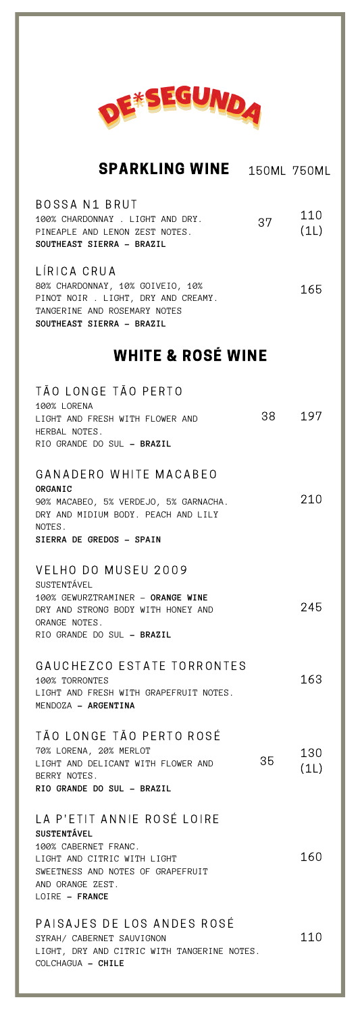

| <b>SPARKLING WINE</b>                                                                                                                                                              | 150ML 750ML |             |
|------------------------------------------------------------------------------------------------------------------------------------------------------------------------------------|-------------|-------------|
| BOSSA N1 BRUT<br>100% CHARDONNAY . LIGHT AND DRY.<br>PINEAPLE AND LENON ZEST NOTES.<br>SOUTHEAST SIERRA - BRAZIL                                                                   | 37          | 110<br>(1L) |
| LÍRICA CRUA<br>80% CHARDONNAY, 10% GOIVEIO, 10%<br>PINOT NOIR . LIGHT, DRY AND CREAMY.<br>TANGERINE AND ROSEMARY NOTES<br>SOUTHEAST SIERRA - BRAZIL                                |             | 165         |
| <b>WHITE &amp; ROSÉ WINE</b>                                                                                                                                                       |             |             |
| TÃO LONGE TÃO PERTO<br><b>100% LORENA</b><br>LIGHT AND FRESH WITH FLOWER AND<br>HERBAL NOTES.<br>RIO GRANDE DO SUL - BRAZIL                                                        |             | 38 197      |
| GANADERO WHITE MACABEO<br>ORGANIC<br>90% MACABEO, 5% VERDEJO, 5% GARNACHA.<br>DRY AND MIDIUM BODY. PEACH AND LILY<br>NOTES.<br>SIERRA DE GREDOS - SPAIN                            |             | 210         |
| VELHO DO MUSEU 2009<br>SUSTENTÁVEL<br>100% GEWURZTRAMINER - ORANGE WINE<br>DRY AND STRONG BODY WITH HONEY AND<br>ORANGE NOTES.<br>RIO GRANDE DO SUL - BRAZIL                       |             | 245         |
| GAUCHEZCO ESTATE TORRONTES<br>100% TORRONTES<br>LIGHT AND FRESH WITH GRAPFFRUIT NOTES<br>MENDOZA - ARGENTINA                                                                       |             | 163         |
| TÃO LONGE TÃO PERTO ROSÉ<br>70% LORENA, 20% MERLOT<br>LIGHT AND DELICANT WITH FLOWER AND<br>BERRY NOTES.<br>RIO GRANDE DO SUL - BRAZIL                                             | 35          | 130<br>(1L) |
| LA P'ETIT ANNIE ROSÉ LOIRE<br><b>SUSTENTÁVEL</b><br>100% CABERNET FRANC.<br>LIGHT AND CITRIC WITH LIGHT<br>SWEETNESS AND NOTES OF GRAPEFRUIT<br>AND ORANGE ZEST.<br>LOIRE - FRANCE |             | 160         |
| PAISAJES DE LOS ANDES ROSÉ<br>SYRAH/ CABERNET SAUVIGNON<br>LIGHT, DRY AND CITRIC WITH TANGERINE NOTES.<br>COLCHAGUA - CHILE                                                        |             | 110         |